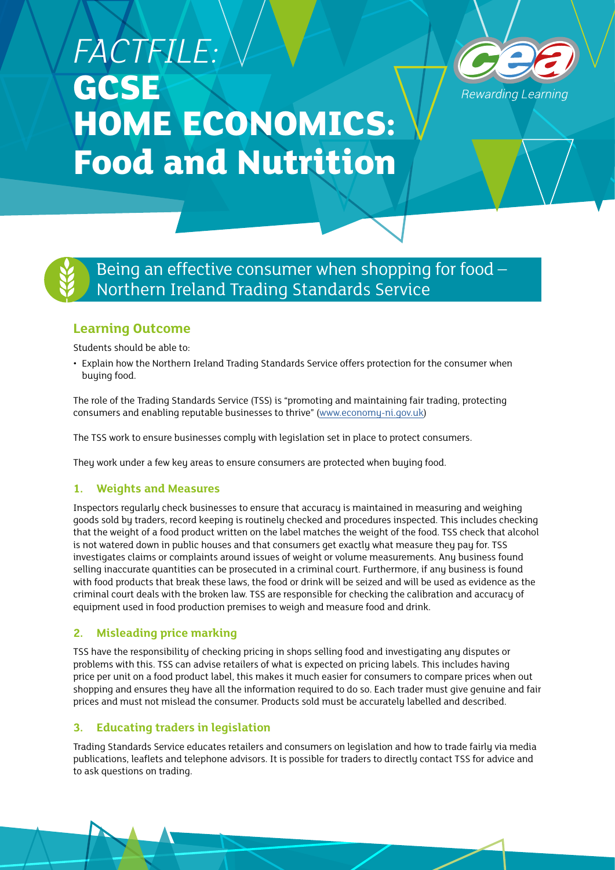# *FACTFILE:*  **GCSE HOME ECONOMICS: Food and Nutrition**



Being an effective consumer when shopping for food – Northern Ireland Trading Standards Service

## **Learning Outcome**

Students should be able to:

• Explain how the Northern Ireland Trading Standards Service offers protection for the consumer when buying food.

The role of the Trading Standards Service (TSS) is "promoting and maintaining fair trading, protecting consumers and enabling reputable businesses to thrive" [\(www.economy-ni.gov.uk](http://www.economy-ni.gov.uk))

The TSS work to ensure businesses comply with legislation set in place to protect consumers.

They work under a few key areas to ensure consumers are protected when buying food.

#### **1. Weights and Measures**

Inspectors regularly check businesses to ensure that accuracy is maintained in measuring and weighing goods sold by traders, record keeping is routinely checked and procedures inspected. This includes checking that the weight of a food product written on the label matches the weight of the food. TSS check that alcohol is not watered down in public houses and that consumers get exactly what measure they pay for. TSS investigates claims or complaints around issues of weight or volume measurements. Any business found selling inaccurate quantities can be prosecuted in a criminal court. Furthermore, if any business is found with food products that break these laws, the food or drink will be seized and will be used as evidence as the criminal court deals with the broken law. TSS are responsible for checking the calibration and accuracy of equipment used in food production premises to weigh and measure food and drink.

#### **2. Misleading price marking**

TSS have the responsibility of checking pricing in shops selling food and investigating any disputes or problems with this. TSS can advise retailers of what is expected on pricing labels. This includes having price per unit on a food product label, this makes it much easier for consumers to compare prices when out shopping and ensures they have all the information required to do so. Each trader must give genuine and fair prices and must not mislead the consumer. Products sold must be accurately labelled and described.

#### **3. Educating traders in legislation**

Trading Standards Service educates retailers and consumers on legislation and how to trade fairly via media publications, leaflets and telephone advisors. It is possible for traders to directly contact TSS for advice and to ask questions on trading.